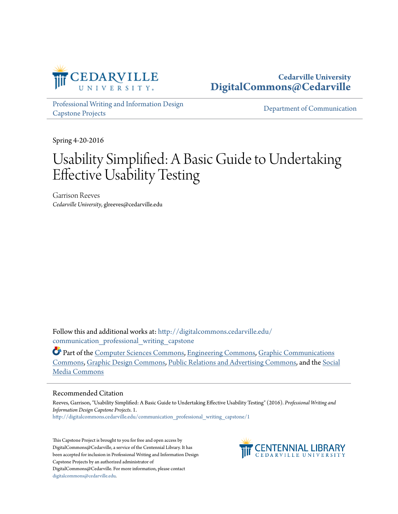

## **Cedarville University [DigitalCommons@Cedarville](http://digitalcommons.cedarville.edu?utm_source=digitalcommons.cedarville.edu%2Fcommunication_professional_writing_capstone%2F1&utm_medium=PDF&utm_campaign=PDFCoverPages)**

[Professional Writing and Information Design](http://digitalcommons.cedarville.edu/communication_professional_writing_capstone?utm_source=digitalcommons.cedarville.edu%2Fcommunication_professional_writing_capstone%2F1&utm_medium=PDF&utm_campaign=PDFCoverPages) [Capstone Projects](http://digitalcommons.cedarville.edu/communication_professional_writing_capstone?utm_source=digitalcommons.cedarville.edu%2Fcommunication_professional_writing_capstone%2F1&utm_medium=PDF&utm_campaign=PDFCoverPages)

[Department of Communication](http://digitalcommons.cedarville.edu/media_and_applied_communications?utm_source=digitalcommons.cedarville.edu%2Fcommunication_professional_writing_capstone%2F1&utm_medium=PDF&utm_campaign=PDFCoverPages)

Spring 4-20-2016

# Usability Simplified: A Basic Guide to Undertaking Effective Usability Testing

Garrison Reeves *Cedarville University*, glreeves@cedarville.edu

Follow this and additional works at: [http://digitalcommons.cedarville.edu/](http://digitalcommons.cedarville.edu/communication_professional_writing_capstone?utm_source=digitalcommons.cedarville.edu%2Fcommunication_professional_writing_capstone%2F1&utm_medium=PDF&utm_campaign=PDFCoverPages) communication professional writing capstone

Part of the [Computer Sciences Commons](http://network.bepress.com/hgg/discipline/142?utm_source=digitalcommons.cedarville.edu%2Fcommunication_professional_writing_capstone%2F1&utm_medium=PDF&utm_campaign=PDFCoverPages), [Engineering Commons,](http://network.bepress.com/hgg/discipline/217?utm_source=digitalcommons.cedarville.edu%2Fcommunication_professional_writing_capstone%2F1&utm_medium=PDF&utm_campaign=PDFCoverPages) [Graphic Communications](http://network.bepress.com/hgg/discipline/1052?utm_source=digitalcommons.cedarville.edu%2Fcommunication_professional_writing_capstone%2F1&utm_medium=PDF&utm_campaign=PDFCoverPages) [Commons,](http://network.bepress.com/hgg/discipline/1052?utm_source=digitalcommons.cedarville.edu%2Fcommunication_professional_writing_capstone%2F1&utm_medium=PDF&utm_campaign=PDFCoverPages) [Graphic Design Commons](http://network.bepress.com/hgg/discipline/1134?utm_source=digitalcommons.cedarville.edu%2Fcommunication_professional_writing_capstone%2F1&utm_medium=PDF&utm_campaign=PDFCoverPages), [Public Relations and Advertising Commons,](http://network.bepress.com/hgg/discipline/336?utm_source=digitalcommons.cedarville.edu%2Fcommunication_professional_writing_capstone%2F1&utm_medium=PDF&utm_campaign=PDFCoverPages) and the [Social](http://network.bepress.com/hgg/discipline/1249?utm_source=digitalcommons.cedarville.edu%2Fcommunication_professional_writing_capstone%2F1&utm_medium=PDF&utm_campaign=PDFCoverPages) [Media Commons](http://network.bepress.com/hgg/discipline/1249?utm_source=digitalcommons.cedarville.edu%2Fcommunication_professional_writing_capstone%2F1&utm_medium=PDF&utm_campaign=PDFCoverPages)

#### Recommended Citation

Reeves, Garrison, "Usability Simplified: A Basic Guide to Undertaking Effective Usability Testing" (2016). *Professional Writing and Information Design Capstone Projects*. 1. [http://digitalcommons.cedarville.edu/communication\\_professional\\_writing\\_capstone/1](http://digitalcommons.cedarville.edu/communication_professional_writing_capstone/1?utm_source=digitalcommons.cedarville.edu%2Fcommunication_professional_writing_capstone%2F1&utm_medium=PDF&utm_campaign=PDFCoverPages)

This Capstone Project is brought to you for free and open access by DigitalCommons@Cedarville, a service of the Centennial Library. It has been accepted for inclusion in Professional Writing and Information Design Capstone Projects by an authorized administrator of DigitalCommons@Cedarville. For more information, please contact [digitalcommons@cedarville.edu](mailto:digitalcommons@cedarville.edu).

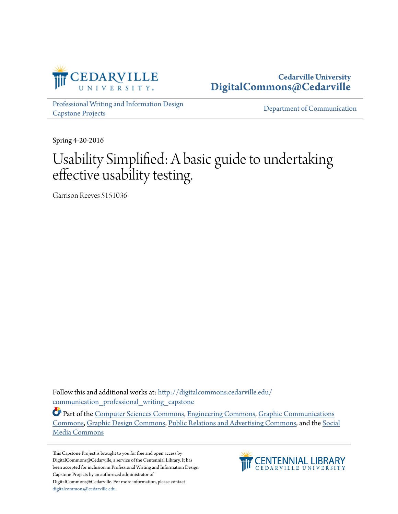

## **Cedarville University [DigitalCommons@Cedarville](http://digitalcommons.cedarville.edu?utm_source=digitalcommons.cedarville.edu%2Fcommunication_professional_writing_capstone%2F1&utm_medium=PDF&utm_campaign=PDFCoverPages)**

[Professional Writing and Information Design](http://digitalcommons.cedarville.edu/communication_professional_writing_capstone?utm_source=digitalcommons.cedarville.edu%2Fcommunication_professional_writing_capstone%2F1&utm_medium=PDF&utm_campaign=PDFCoverPages) [Capstone Projects](http://digitalcommons.cedarville.edu/communication_professional_writing_capstone?utm_source=digitalcommons.cedarville.edu%2Fcommunication_professional_writing_capstone%2F1&utm_medium=PDF&utm_campaign=PDFCoverPages)

[Department of Communication](http://digitalcommons.cedarville.edu/media_and_applied_communications?utm_source=digitalcommons.cedarville.edu%2Fcommunication_professional_writing_capstone%2F1&utm_medium=PDF&utm_campaign=PDFCoverPages)

Spring 4-20-2016

# Usability Simplified: A basic guide to undertaking effective usability testing.

Garrison Reeves 5151036

Follow this and additional works at: [http://digitalcommons.cedarville.edu/](http://digitalcommons.cedarville.edu/communication_professional_writing_capstone?utm_source=digitalcommons.cedarville.edu%2Fcommunication_professional_writing_capstone%2F1&utm_medium=PDF&utm_campaign=PDFCoverPages) communication professional writing capstone

Part of the [Computer Sciences Commons](http://network.bepress.com/hgg/discipline/142?utm_source=digitalcommons.cedarville.edu%2Fcommunication_professional_writing_capstone%2F1&utm_medium=PDF&utm_campaign=PDFCoverPages), [Engineering Commons,](http://network.bepress.com/hgg/discipline/217?utm_source=digitalcommons.cedarville.edu%2Fcommunication_professional_writing_capstone%2F1&utm_medium=PDF&utm_campaign=PDFCoverPages) [Graphic Communications](http://network.bepress.com/hgg/discipline/1052?utm_source=digitalcommons.cedarville.edu%2Fcommunication_professional_writing_capstone%2F1&utm_medium=PDF&utm_campaign=PDFCoverPages) [Commons,](http://network.bepress.com/hgg/discipline/1052?utm_source=digitalcommons.cedarville.edu%2Fcommunication_professional_writing_capstone%2F1&utm_medium=PDF&utm_campaign=PDFCoverPages) [Graphic Design Commons](http://network.bepress.com/hgg/discipline/1134?utm_source=digitalcommons.cedarville.edu%2Fcommunication_professional_writing_capstone%2F1&utm_medium=PDF&utm_campaign=PDFCoverPages), [Public Relations and Advertising Commons,](http://network.bepress.com/hgg/discipline/336?utm_source=digitalcommons.cedarville.edu%2Fcommunication_professional_writing_capstone%2F1&utm_medium=PDF&utm_campaign=PDFCoverPages) and the [Social](http://network.bepress.com/hgg/discipline/1249?utm_source=digitalcommons.cedarville.edu%2Fcommunication_professional_writing_capstone%2F1&utm_medium=PDF&utm_campaign=PDFCoverPages) [Media Commons](http://network.bepress.com/hgg/discipline/1249?utm_source=digitalcommons.cedarville.edu%2Fcommunication_professional_writing_capstone%2F1&utm_medium=PDF&utm_campaign=PDFCoverPages)

This Capstone Project is brought to you for free and open access by DigitalCommons@Cedarville, a service of the Centennial Library. It has been accepted for inclusion in Professional Writing and Information Design Capstone Projects by an authorized administrator of DigitalCommons@Cedarville. For more information, please contact [digitalcommons@cedarville.edu](mailto:digitalcommons@cedarville.edu).

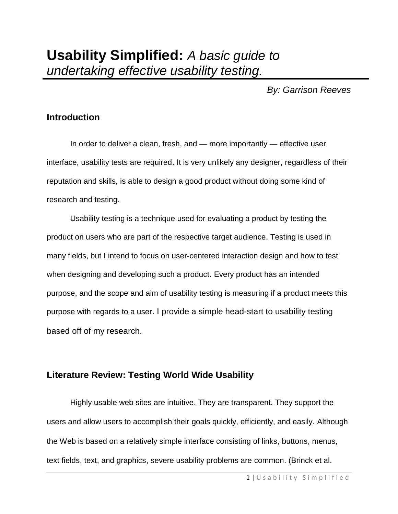*By: Garrison Reeves*

# **Introduction**

In order to deliver a clean, fresh, and — more importantly — effective user interface, usability tests are required. It is very unlikely any designer, regardless of their reputation and skills, is able to design a good product without doing some kind of research and testing.

Usability testing is a technique used for evaluating a product by testing the product on users who are part of the respective target audience. Testing is used in many fields, but I intend to focus on user-centered interaction design and how to test when designing and developing such a product. Every product has an intended purpose, and the scope and aim of usability testing is measuring if a product meets this purpose with regards to a user. I provide a simple head-start to usability testing based off of my research.

# **Literature Review: Testing World Wide Usability**

Highly usable web sites are intuitive. They are transparent. They support the users and allow users to accomplish their goals quickly, efficiently, and easily. Although the Web is based on a relatively simple interface consisting of links, buttons, menus, text fields, text, and graphics, severe usability problems are common. (Brinck et al.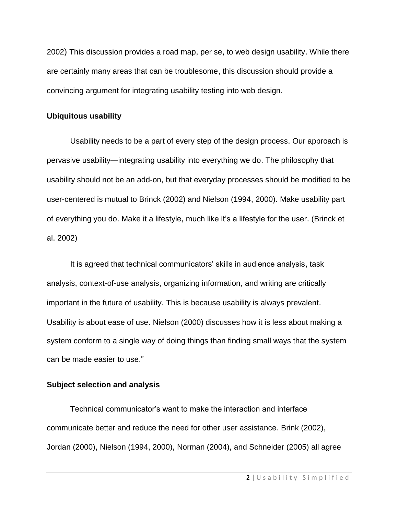2002) This discussion provides a road map, per se, to web design usability. While there are certainly many areas that can be troublesome, this discussion should provide a convincing argument for integrating usability testing into web design.

### **Ubiquitous usability**

Usability needs to be a part of every step of the design process. Our approach is pervasive usability—integrating usability into everything we do. The philosophy that usability should not be an add-on, but that everyday processes should be modified to be user-centered is mutual to Brinck (2002) and Nielson (1994, 2000). Make usability part of everything you do. Make it a lifestyle, much like it's a lifestyle for the user. (Brinck et al. 2002)

It is agreed that technical communicators' skills in audience analysis, task analysis, context-of-use analysis, organizing information, and writing are critically important in the future of usability. This is because usability is always prevalent. Usability is about ease of use. Nielson (2000) discusses how it is less about making a system conform to a single way of doing things than finding small ways that the system can be made easier to use."

## **Subject selection and analysis**

Technical communicator's want to make the interaction and interface communicate better and reduce the need for other user assistance. Brink (2002), Jordan (2000), Nielson (1994, 2000), Norman (2004), and Schneider (2005) all agree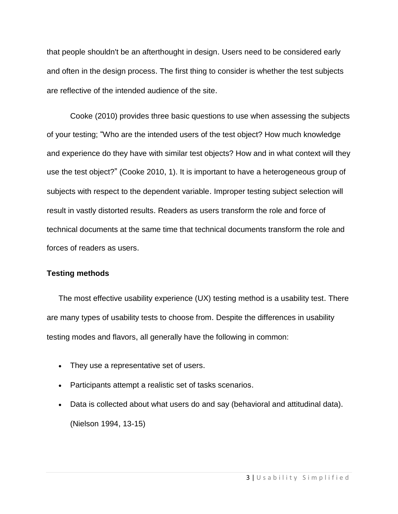that people shouldn't be an afterthought in design. Users need to be considered early and often in the design process. The first thing to consider is whether the test subjects are reflective of the intended audience of the site.

Cooke (2010) provides three basic questions to use when assessing the subjects of your testing; "Who are the intended users of the test object? How much knowledge and experience do they have with similar test objects? How and in what context will they use the test object?" (Cooke 2010, 1). It is important to have a heterogeneous group of subjects with respect to the dependent variable. Improper testing subject selection will result in vastly distorted results. Readers as users transform the role and force of technical documents at the same time that technical documents transform the role and forces of readers as users.

## **Testing methods**

The most effective usability experience (UX) testing method is a usability test. There are many types of usability tests to choose from. Despite the differences in usability testing modes and flavors, all generally have the following in common:

- They use a representative set of users.
- Participants attempt a realistic set of tasks scenarios.
- Data is collected about what users do and say (behavioral and attitudinal data). (Nielson 1994, 13-15)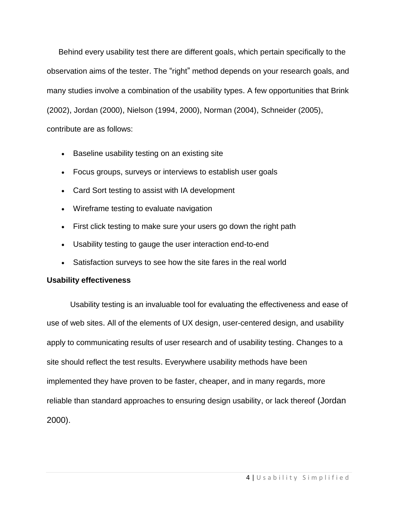Behind every usability test there are different goals, which pertain specifically to the observation aims of the tester. The "right" method depends on your research goals, and many studies involve a combination of the usability types. A few opportunities that Brink (2002), Jordan (2000), Nielson (1994, 2000), Norman (2004), Schneider (2005), contribute are as follows:

- **Baseline usability testing on an existing site**
- [Focus](http://www.usability.gov/how-to-and-tools/methods/focus-groups.html) groups, surveys or interviews to establish user goals
- [Card](http://www.usability.gov/how-to-and-tools/methods/card-sorting.html) Sort testing to assist with IA development
- Wireframe testing to evaluate navigation
- [First](http://www.usability.gov/how-to-and-tools/methods/first-click-testing.html) click testing to make sure your users go down the right path
- Usability testing to gauge the user interaction end-to-end
- Satisfaction [surveys](http://www.usability.gov/how-to-and-tools/methods/online-surveys.html) to see how the site fares in the real world

## **Usability effectiveness**

Usability testing is an invaluable tool for evaluating the effectiveness and ease of use of web sites. All of the elements of UX design, user-centered design, and usability apply to communicating results of user research and of usability testing. Changes to a site should reflect the test results. Everywhere usability methods have been implemented they have proven to be faster, cheaper, and in many regards, more reliable than standard approaches to ensuring design usability, or lack thereof (Jordan 2000).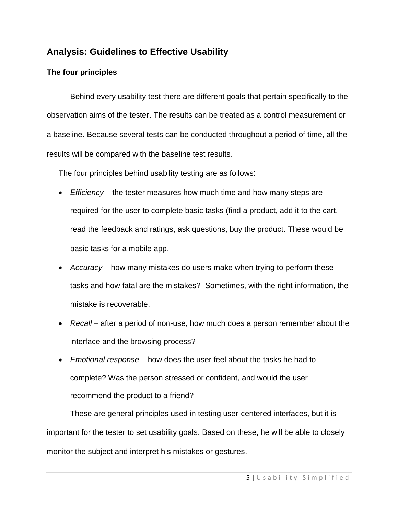# **Analysis: Guidelines to Effective Usability**

## **The four principles**

Behind every usability test there are different goals that pertain specifically to the observation aims of the tester. The results can be treated as a control measurement or a baseline. Because several tests can be conducted throughout a period of time, all the results will be compared with the baseline test results.

The four principles behind usability testing are as follows:

- *Efficiency* the tester measures how much time and how many steps are required for the user to complete basic tasks (find a product, add it to the cart, read the feedback and ratings, ask questions, buy the product. These would be basic tasks for a mobile app.
- *Accuracy* how many mistakes do users make when trying to perform these tasks and how fatal are the mistakes? Sometimes, with the right information, the mistake is recoverable.
- *Recall* after a period of non-use, how much does a person remember about the interface and the browsing process?
- *Emotional response* how does the user feel about the tasks he had to complete? Was the person stressed or confident, and would the user recommend the product to a friend?

These are general principles used in testing user-centered interfaces, but it is important for the tester to set usability goals. Based on these, he will be able to closely monitor the subject and interpret his mistakes or gestures.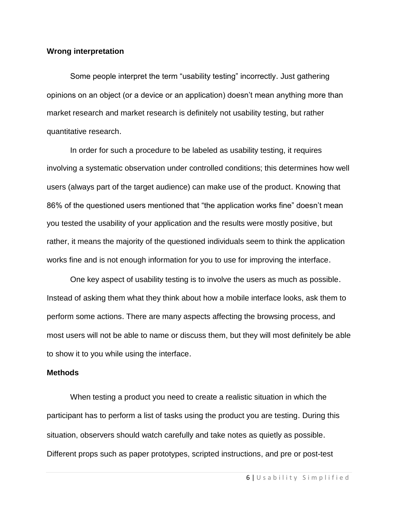### **Wrong interpretation**

Some people interpret the term "usability testing" incorrectly. Just gathering opinions on an object (or a device or an application) doesn't mean anything more than market research and market research is definitely not usability testing, but rather quantitative research.

In order for such a procedure to be labeled as usability testing, it requires involving a systematic observation under controlled conditions; this determines how well users (always part of the target audience) can make use of the product. Knowing that 86% of the questioned users mentioned that "the application works fine" doesn't mean you tested the usability of your application and the results were mostly positive, but rather, it means the majority of the questioned individuals seem to think the application works fine and is not enough information for you to use for improving the interface.

One key aspect of usability testing is to involve the users as much as possible. Instead of asking them what they think about how a mobile interface looks, ask them to perform some actions. There are many aspects affecting the browsing process, and most users will not be able to name or discuss them, but they will most definitely be able to show it to you while using the interface.

## **Methods**

When testing a product you need to create a realistic situation in which the participant has to perform a list of tasks using the product you are testing. During this situation, observers should watch carefully and take notes as quietly as possible. Different props such as paper prototypes, scripted instructions, and pre or post-test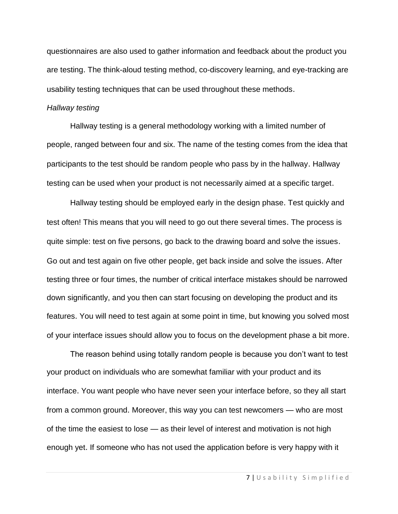questionnaires are also used to gather information and feedback about the product you are testing. The think-aloud testing method, co-discovery learning, and eye-tracking are usability testing techniques that can be used throughout these methods.

### *Hallway testing*

Hallway testing is a general methodology working with a limited number of people, ranged between four and six. The name of the testing comes from the idea that participants to the test should be random people who pass by in the hallway. Hallway testing can be used when your product is not necessarily aimed at a specific target.

Hallway testing should be employed early in the design phase. Test quickly and test often! This means that you will need to go out there several times. The process is quite simple: test on five persons, go back to the drawing board and solve the issues. Go out and test again on five other people, get back inside and solve the issues. After testing three or four times, the number of critical interface mistakes should be narrowed down significantly, and you then can start focusing on developing the product and its features. You will need to test again at some point in time, but knowing you solved most of your interface issues should allow you to focus on the development phase a bit more.

The reason behind using totally random people is because you don't want to test your product on individuals who are somewhat familiar with your product and its interface. You want people who have never seen your interface before, so they all start from a common ground. Moreover, this way you can test newcomers — who are most of the time the easiest to lose — as their level of interest and motivation is not high enough yet. If someone who has not used the application before is very happy with it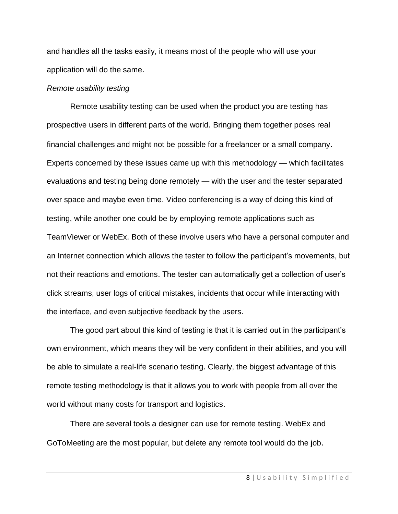and handles all the tasks easily, it means most of the people who will use your application will do the same.

## *Remote usability testing*

Remote usability testing can be used when the product you are testing has prospective users in different parts of the world. Bringing them together poses real financial challenges and might not be possible for a freelancer or a small company. Experts concerned by these issues came up with this methodology — which facilitates evaluations and testing being done remotely — with the user and the tester separated over space and maybe even time. Video conferencing is a way of doing this kind of testing, while another one could be by employing remote applications such as TeamViewer or WebEx. Both of these involve users who have a personal computer and an Internet connection which allows the tester to follow the participant's movements, but not their reactions and emotions. The tester can automatically get a collection of user's click streams, user logs of critical mistakes, incidents that occur while interacting with the interface, and even subjective feedback by the users.

The good part about this kind of testing is that it is carried out in the participant's own environment, which means they will be very confident in their abilities, and you will be able to simulate a real-life scenario testing. Clearly, the biggest advantage of this remote testing methodology is that it allows you to work with people from all over the world without many costs for transport and logistics.

There are several tools a designer can use for remote testing. WebEx and GoToMeeting are the most popular, but delete any remote tool would do the job.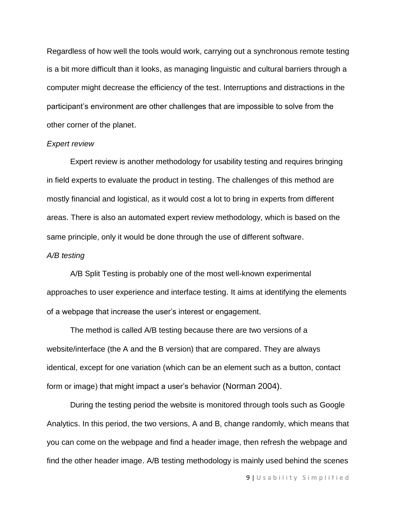Regardless of how well the tools would work, carrying out a synchronous remote testing is a bit more difficult than it looks, as managing linguistic and cultural barriers through a computer might decrease the efficiency of the test. Interruptions and distractions in the participant's environment are other challenges that are impossible to solve from the other corner of the planet.

#### *Expert review*

Expert review is another methodology for usability testing and requires bringing in field experts to evaluate the product in testing. The challenges of this method are mostly financial and logistical, as it would cost a lot to bring in experts from different areas. There is also an automated expert review methodology, which is based on the same principle, only it would be done through the use of different software.

#### *A/B testing*

A/B Split Testing is probably one of the most well-known experimental approaches to user experience and interface testing. It aims at identifying the elements of a webpage that increase the user's interest or engagement.

The method is called A/B testing because there are two versions of a website/interface (the A and the B version) that are compared. They are always identical, except for one variation (which can be an element such as a button, contact form or image) that might impact a user's behavior (Norman 2004).

During the testing period the website is monitored through tools such as Google Analytics. In this period, the two versions, A and B, change randomly, which means that you can come on the webpage and find a header image, then refresh the webpage and find the other header image. A/B testing methodology is mainly used behind the scenes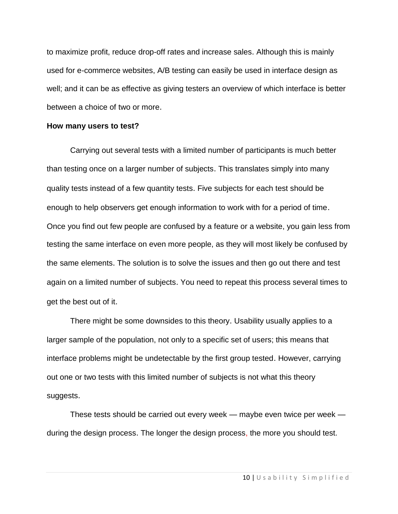to maximize profit, reduce drop-off rates and increase sales. Although this is mainly used for e-commerce websites, A/B testing can easily be used in interface design as well; and it can be as effective as giving testers an overview of which interface is better between a choice of two or more.

## **How many users to test?**

Carrying out several tests with a limited number of participants is much better than testing once on a larger number of subjects. This translates simply into many quality tests instead of a few quantity tests. Five subjects for each test should be enough to help observers get enough information to work with for a period of time. Once you find out few people are confused by a feature or a website, you gain less from testing the same interface on even more people, as they will most likely be confused by the same elements. The solution is to solve the issues and then go out there and test again on a limited number of subjects. You need to repeat this process several times to get the best out of it.

There might be some downsides to this theory. Usability usually applies to a larger sample of the population, not only to a specific set of users; this means that interface problems might be undetectable by the first group tested. However, carrying out one or two tests with this limited number of subjects is not what this theory suggests.

These tests should be carried out every week — maybe even twice per week during the design process. The longer the design process, the more you should test.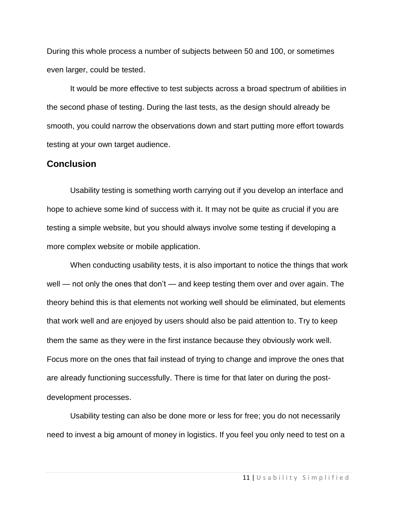During this whole process a number of subjects between 50 and 100, or sometimes even larger, could be tested.

It would be more effective to test subjects across a broad spectrum of abilities in the second phase of testing. During the last tests, as the design should already be smooth, you could narrow the observations down and start putting more effort towards testing at your own target audience.

## **Conclusion**

Usability testing is something worth carrying out if you develop an interface and hope to achieve some kind of success with it. It may not be quite as crucial if you are testing a simple website, but you should always involve some testing if developing a more complex website or mobile application.

When conducting usability tests, it is also important to notice the things that work well — not only the ones that don't — and keep testing them over and over again. The theory behind this is that elements not working well should be eliminated, but elements that work well and are enjoyed by users should also be paid attention to. Try to keep them the same as they were in the first instance because they obviously work well. Focus more on the ones that fail instead of trying to change and improve the ones that are already functioning successfully. There is time for that later on during the postdevelopment processes.

Usability testing can also be done more or less for free; you do not necessarily need to invest a big amount of money in logistics. If you feel you only need to test on a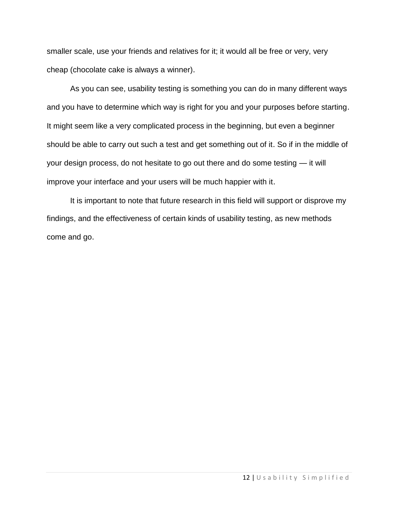smaller scale, use your friends and relatives for it; it would all be free or very, very cheap (chocolate cake is always a winner).

As you can see, usability testing is something you can do in many different ways and you have to determine which way is right for you and your purposes before starting. It might seem like a very complicated process in the beginning, but even a beginner should be able to carry out such a test and get something out of it. So if in the middle of your design process, do not hesitate to go out there and do some testing — it will improve your interface and your users will be much happier with it.

It is important to note that future research in this field will support or disprove my findings, and the effectiveness of certain kinds of usability testing, as new methods come and go.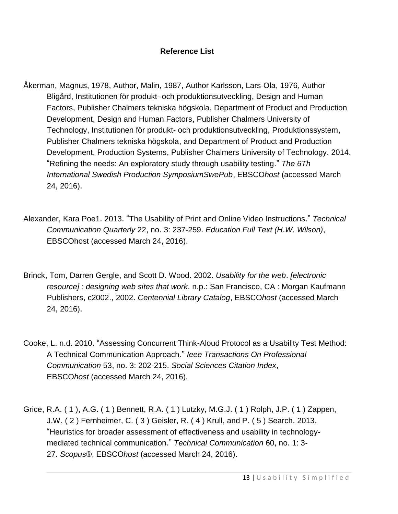## **Reference List**

- Åkerman, Magnus, 1978, Author, Malin, 1987, Author Karlsson, Lars-Ola, 1976, Author Bligård, Institutionen för produkt- och produktionsutveckling, Design and Human Factors, Publisher Chalmers tekniska högskola, Department of Product and Production Development, Design and Human Factors, Publisher Chalmers University of Technology, Institutionen för produkt- och produktionsutveckling, Produktionssystem, Publisher Chalmers tekniska högskola, and Department of Product and Production Development, Production Systems, Publisher Chalmers University of Technology. 2014. "Refining the needs: An exploratory study through usability testing." *The 6Th International Swedish Production SymposiumSwePub*, EBSCO*host* (accessed March 24, 2016).
- Alexander, Kara Poe1. 2013. "The Usability of Print and Online Video Instructions." *Technical Communication Quarterly* 22, no. 3: 237-259. *Education Full Text (H*.*W*. *Wilson)*, EBSCOhost (accessed March 24, 2016).
- Brinck, Tom, Darren Gergle, and Scott D. Wood. 2002. *Usability for the web*. *[electronic resource] : designing web sites that work*. n.p.: San Francisco, CA : Morgan Kaufmann Publishers, c2002., 2002. *Centennial Library Catalog*, EBSCO*host* (accessed March 24, 2016).
- Cooke, L. n.d. 2010. "Assessing Concurrent Think-Aloud Protocol as a Usability Test Method: A Technical Communication Approach." *Ieee Transactions On Professional Communication* 53, no. 3: 202-215. *Social Sciences Citation Index*, EBSCO*host* (accessed March 24, 2016).
- Grice, R.A. ( 1 ), A.G. ( 1 ) Bennett, R.A. ( 1 ) Lutzky, M.G.J. ( 1 ) Rolph, J.P. ( 1 ) Zappen, J.W. ( 2 ) Fernheimer, C. ( 3 ) Geisler, R. ( 4 ) Krull, and P. ( 5 ) Search. 2013. "Heuristics for broader assessment of effectiveness and usability in technologymediated technical communication." *Technical Communication* 60, no. 1: 3- 27. *Scopus®*, EBSCO*host* (accessed March 24, 2016).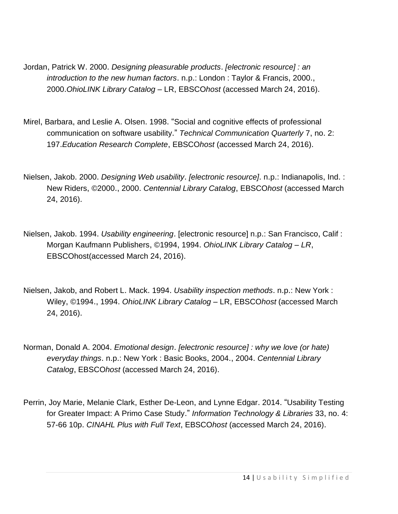- Jordan, Patrick W. 2000. *Designing pleasurable products*. *[electronic resource] : an introduction to the new human factors*. n.p.: London : Taylor & Francis, 2000., 2000.*OhioLINK Library Catalog* – LR, EBSCO*host* (accessed March 24, 2016).
- Mirel, Barbara, and Leslie A. Olsen. 1998. "Social and cognitive effects of professional communication on software usability." *Technical Communication Quarterly* 7, no. 2: 197.*Education Research Complete*, EBSCO*host* (accessed March 24, 2016).
- Nielsen, Jakob. 2000. *Designing Web usability*. *[electronic resource]*. n.p.: Indianapolis, Ind. : New Riders, ©2000., 2000. *Centennial Library Catalog*, EBSCO*host* (accessed March 24, 2016).
- Nielsen, Jakob. 1994. *Usability engineering*. [electronic resource] n.p.: San Francisco, Calif : Morgan Kaufmann Publishers, ©1994, 1994. *OhioLINK Library Catalog – LR*, EBSCOhost(accessed March 24, 2016).
- Nielsen, Jakob, and Robert L. Mack. 1994. *Usability inspection methods*. n.p.: New York : Wiley, ©1994., 1994. *OhioLINK Library Catalog* – LR, EBSCO*host* (accessed March 24, 2016).
- Norman, Donald A. 2004. *Emotional design*. *[electronic resource] : why we love (or hate) everyday things*. n.p.: New York : Basic Books, 2004., 2004. *Centennial Library Catalog*, EBSCO*host* (accessed March 24, 2016).
- Perrin, Joy Marie, Melanie Clark, Esther De-Leon, and Lynne Edgar. 2014. "Usability Testing for Greater Impact: A Primo Case Study." *Information Technology & Libraries* 33, no. 4: 57-66 10p. *CINAHL Plus with Full Text*, EBSCO*host* (accessed March 24, 2016).